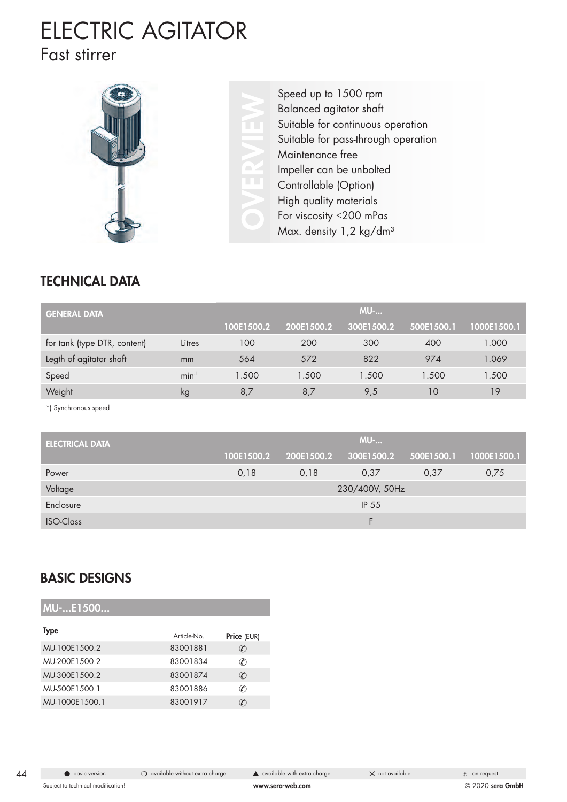## ELECTRIC AGITATOR Fast stirrer



Speed up to 1500 rpm<br>Balanced agitator shaft<br>Suitable for continuous<br>Suitable for pass-throug<br>Maintenance free<br>Impeller can be unbolte<br>Controllable (Option)<br>High quality materials<br>For viscosity ≤200 mPa Balanced agitator shaft Suitable for continuous operation Suitable for pass-through operation Maintenance free Impeller can be unbolted Controllable (Option) High quality materials For viscosity ≤200 mPas Max. density 1,2 kg/dm<sup>3</sup>

### TECHNICAL DATA

| <b>GENERAL DATA</b>          |            |            |            | <b>MU-</b> |            |             |
|------------------------------|------------|------------|------------|------------|------------|-------------|
|                              |            | 100E1500.2 | 200E1500.2 | 300E1500.2 | 500E1500.1 | 1000E1500.1 |
| for tank (type DTR, content) | Litres     | 100        | 200        | 300        | 400        | 1.000       |
| Legth of agitator shaft      | mm         | 564        | 572        | 822        | 974        | 1.069       |
| Speed                        | $min^{-1}$ | 1.500      | 1.500      | 1.500      | 1.500      | 1.500       |
| Weight                       | kg         | 8.7        | 8,7        | 9,5        | 10         | 19          |

\*) Synchronous speed

| <b>ELECTRICAL DATA</b> | <b>MU-</b>     |            |            |            |             |  |  |
|------------------------|----------------|------------|------------|------------|-------------|--|--|
|                        | 100E1500.2     | 200E1500.2 | 300E1500.2 | 500E1500.1 | 1000E1500.1 |  |  |
| Power                  | 0,18           | 0,18       | 0,37       | 0,37       | 0,75        |  |  |
| Voltage                | 230/400V, 50Hz |            |            |            |             |  |  |
| Enclosure              | <b>IP 55</b>   |            |            |            |             |  |  |
| <b>ISO-Class</b>       |                |            |            |            |             |  |  |

#### BASIC DESIGNS

MU- F1500

| <b>Type</b>    | Article-No | Price (EUR)                             |
|----------------|------------|-----------------------------------------|
| MU-100E1500.2  | 83001881   | $\left(\color{red}{\ell}\right)$        |
| MU-200E1500.2  | 83001834   | $\left(\color{red}{\mathcal{C}}\right)$ |
| MU-300E1500.2  | 83001874   | $\left( \mathcal{C}\right)$             |
| MU-500E1500.1  | 83001886   | $\left( \Gamma \right)$                 |
| MU-1000E1500.1 | 83001917   | $\left(\boldsymbol{\ell}\right)$        |
|                |            |                                         |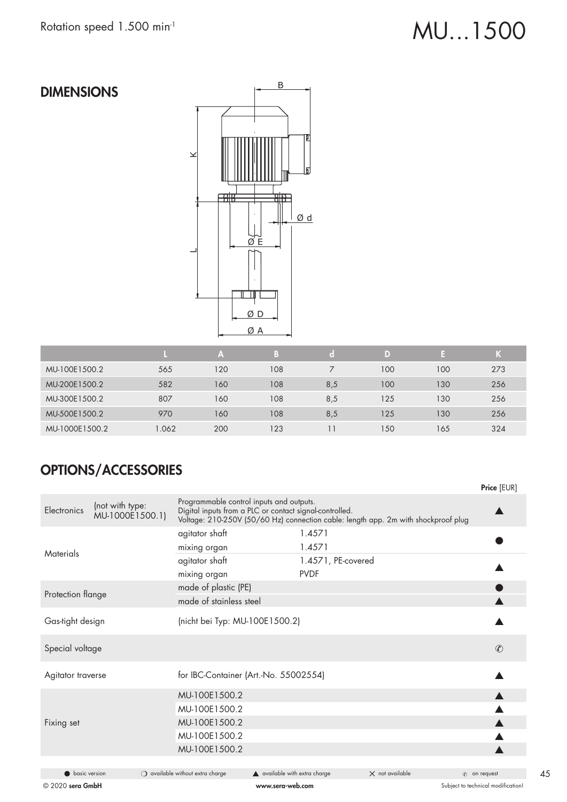# Rotation speed 1.500 min<sup>-1</sup> MU...1500

### DIMENSIONS



|                |       | A   | B   | ſ o I | D)  |     | Κ   |
|----------------|-------|-----|-----|-------|-----|-----|-----|
| MU-100E1500.2  | 565   | 120 | 108 |       | 100 | 100 | 273 |
| MU-200E1500.2  | 582   | 160 | 108 | 8,5   | 100 | 130 | 256 |
| MU-300E1500.2  | 807   | 160 | 108 | 8,5   | 125 | 130 | 256 |
| MU-500E1500.2  | 970   | 160 | 108 | 8,5   | 125 | 130 | 256 |
| MU-1000E1500.2 | 1.062 | 200 | 123 |       | 150 | 165 | 324 |

### OPTIONS/ACCESSORIES

|                      |                                    |                                                                                                     |                                              |                    |                                                                                    | Price [EUR]         |
|----------------------|------------------------------------|-----------------------------------------------------------------------------------------------------|----------------------------------------------|--------------------|------------------------------------------------------------------------------------|---------------------|
| Electronics          | (not with type:<br>MU-1000E1500.1) | Programmable control inputs and outputs.<br>Digital inputs from a PLC or contact signal-controlled. |                                              |                    | Voltage: 210-250V (50/60 Hz) connection cable: length app. 2m with shockproof plug |                     |
|                      |                                    | agitator shaft                                                                                      |                                              | 1.4571             |                                                                                    |                     |
| Materials            |                                    | mixing organ                                                                                        |                                              | 1.4571             |                                                                                    |                     |
|                      |                                    | agitator shaft                                                                                      |                                              | 1.4571, PE-covered |                                                                                    |                     |
|                      |                                    | mixing organ                                                                                        |                                              | <b>PVDF</b>        |                                                                                    |                     |
| Protection flange    |                                    | made of plastic (PE)                                                                                |                                              |                    |                                                                                    |                     |
|                      |                                    | made of stainless steel                                                                             |                                              |                    |                                                                                    |                     |
| Gas-tight design     |                                    | (nicht bei Typ: MU-100E1500.2)                                                                      |                                              |                    |                                                                                    |                     |
| Special voltage      |                                    |                                                                                                     |                                              |                    |                                                                                    | $\mathcal{C}$       |
| Agitator traverse    |                                    | for IBC-Container (Art.-No. 55002554)                                                               |                                              |                    |                                                                                    |                     |
|                      |                                    | MU-100E1500.2                                                                                       |                                              |                    |                                                                                    |                     |
|                      |                                    | MU-100E1500.2                                                                                       |                                              |                    |                                                                                    |                     |
| Fixing set           |                                    | MU-100E1500.2                                                                                       |                                              |                    |                                                                                    |                     |
|                      |                                    | MU-100E1500.2                                                                                       |                                              |                    |                                                                                    |                     |
|                      |                                    | MU-100E1500.2                                                                                       |                                              |                    |                                                                                    |                     |
|                      |                                    |                                                                                                     |                                              |                    |                                                                                    |                     |
| <b>basic version</b> |                                    | $\bigcirc$ available without extra charge                                                           | $\blacktriangle$ available with extra charge |                    | $\times$ not available                                                             | $\infty$ on request |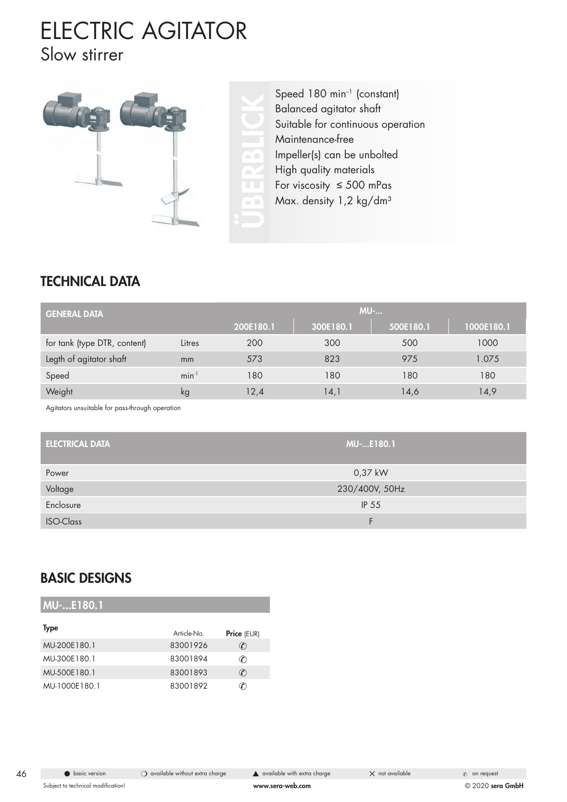## ELECTRIC AGITATOR Slow stirrer



Speed 180 min<sup>-1</sup> (constant)<br>Balanced agitator shaft<br>Suitable for continuous ope<br>Maintenance-free<br>Impeller(s) can be unbolted<br>High quality materials<br>For viscosity  $\leq 500$  mPas<br>Max. density 1,2 kg/dm<sup>3</sup> Balanced agitator shaft Suitable for continuous operation Maintenance-free Impeller(s) can be unbolted High quality materials For viscosity ≤ 500 mPas Max. density 1,2 kg/dm<sup>3</sup>

### TECHNICAL DATA

| <b>GENERAL DATA</b>          |            | <b>MU-</b> |           |           |            |  |  |
|------------------------------|------------|------------|-----------|-----------|------------|--|--|
|                              |            | 200E180.1  | 300E180.1 | 500E180.1 | 1000E180.1 |  |  |
| for tank (type DTR, content) | Litres     | 200        | 300       | 500       | 1000       |  |  |
| Legth of agitator shaft      | mm         | 573        | 823       | 975       | 1.075      |  |  |
| Speed                        | $min^{-1}$ | 180        | 180       | 180       | 180        |  |  |
| Weight                       | kg         | 12,4       | 14,1      | 14,6      | 14,9       |  |  |

Agitators unsuitable for pass-through operation

| <b>ELECTRICAL DATA</b> | <b>MU-E180.1</b> |
|------------------------|------------------|
| Power                  | 0,37 kW          |
| Voltage                | 230/400V, 50Hz   |
| Enclosure              | IP 55            |
| <b>ISO-Class</b>       |                  |

#### BASIC DESIGNS

| MU-E180.1     |            |                                         |
|---------------|------------|-----------------------------------------|
| Type          | Article-No | <b>Price (EUR)</b>                      |
| MU-200E180.1  | 83001926   | $\left(\color{red}{\mathcal{C}}\right)$ |
| MU-300E180.1  | 83001894   | $\mathcal{C}$                           |
| MU-500E180.1  | 83001893   | $\mathcal{C}$                           |
| MU-1000E180.1 | 83001892   | C)                                      |